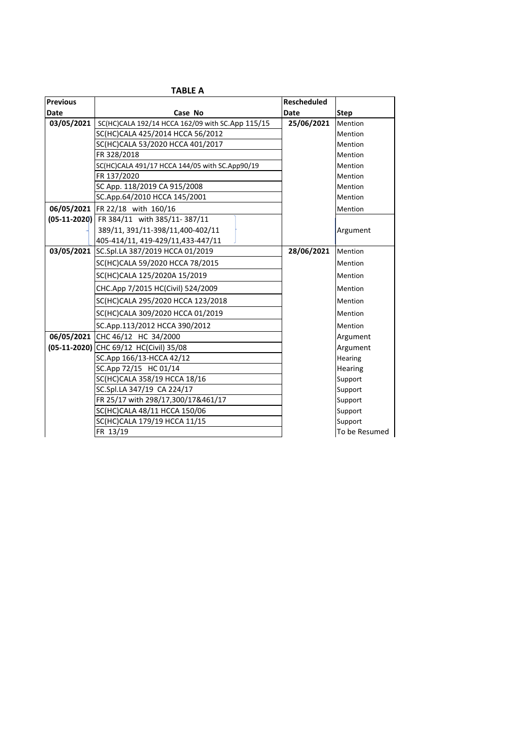|                 | <b>TABLE A</b>                                                |                    |               |
|-----------------|---------------------------------------------------------------|--------------------|---------------|
| <b>Previous</b> |                                                               | <b>Rescheduled</b> |               |
| Date            | Case No                                                       | Date               | <b>Step</b>   |
|                 | 03/05/2021   SC(HC)CALA 192/14 HCCA 162/09 with SC.App 115/15 | 25/06/2021         | Mention       |
|                 | SC(HC)CALA 425/2014 HCCA 56/2012                              |                    | Mention       |
|                 | SC(HC)CALA 53/2020 HCCA 401/2017                              |                    | Mention       |
|                 | FR 328/2018                                                   |                    | Mention       |
|                 | SC(HC)CALA 491/17 HCCA 144/05 with SC.App90/19                |                    | Mention       |
|                 | FR 137/2020                                                   |                    | Mention       |
|                 | SC App. 118/2019 CA 915/2008                                  |                    | Mention       |
|                 | SC.App.64/2010 HCCA 145/2001                                  |                    | Mention       |
|                 | 06/05/2021 FR 22/18 with 160/16                               |                    | Mention       |
|                 | (05-11-2020) FR 384/11 with 385/11-387/11                     |                    |               |
|                 | 389/11, 391/11-398/11,400-402/11                              |                    | Argument      |
|                 | 405-414/11, 419-429/11, 433-447/11                            |                    |               |
|                 | 03/05/2021 SC.Spl.LA 387/2019 HCCA 01/2019                    | 28/06/2021         | Mention       |
|                 | SC(HC)CALA 59/2020 HCCA 78/2015                               |                    | Mention       |
|                 | SC(HC)CALA 125/2020A 15/2019                                  |                    | Mention       |
|                 | CHC.App 7/2015 HC(Civil) 524/2009                             |                    | Mention       |
|                 | SC(HC)CALA 295/2020 HCCA 123/2018                             |                    | Mention       |
|                 | SC(HC)CALA 309/2020 HCCA 01/2019                              |                    | Mention       |
|                 | SC.App.113/2012 HCCA 390/2012                                 |                    | Mention       |
|                 | 06/05/2021 CHC 46/12 HC 34/2000                               |                    | Argument      |
|                 | (05-11-2020) CHC 69/12 HC(Civil) 35/08                        |                    | Argument      |
|                 | SC.App 166/13-HCCA 42/12                                      |                    | Hearing       |
|                 | SC.App 72/15 HC 01/14                                         |                    | Hearing       |
|                 | SC(HC)CALA 358/19 HCCA 18/16                                  |                    | Support       |
|                 | SC.Spl.LA 347/19 CA 224/17                                    |                    | Support       |
|                 | FR 25/17 with 298/17,300/17&461/17                            |                    | Support       |
|                 | SC(HC)CALA 48/11 HCCA 150/06                                  |                    | Support       |
|                 | SC(HC)CALA 179/19 HCCA 11/15                                  |                    | Support       |
|                 | FR 13/19                                                      |                    | To be Resumed |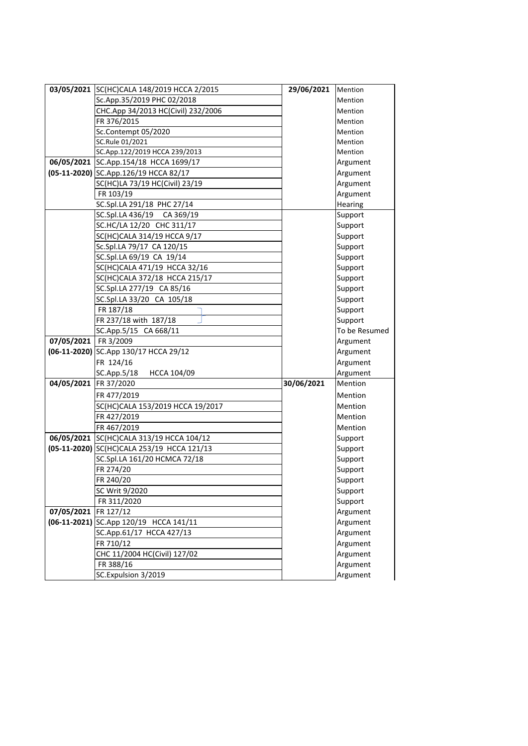|                        | 03/05/2021 SC(HC)CALA 148/2019 HCCA 2/2015 | 29/06/2021 | Mention       |
|------------------------|--------------------------------------------|------------|---------------|
|                        | Sc.App.35/2019 PHC 02/2018                 |            | Mention       |
|                        | CHC.App 34/2013 HC(Civil) 232/2006         |            | Mention       |
|                        | FR 376/2015                                |            | Mention       |
|                        | Sc.Contempt 05/2020                        |            | Mention       |
|                        | SC.Rule 01/2021                            |            | Mention       |
|                        | SC.App.122/2019 HCCA 239/2013              |            | Mention       |
|                        | 06/05/2021 SC.App.154/18 HCCA 1699/17      |            | Argument      |
|                        | (05-11-2020) SC.App.126/19 HCCA 82/17      |            | Argument      |
|                        | SC(HC)LA 73/19 HC(Civil) 23/19             |            | Argument      |
|                        | FR 103/19                                  |            | Argument      |
|                        | SC.Spl.LA 291/18 PHC 27/14                 |            | Hearing       |
|                        | SC.Spl.LA 436/19 CA 369/19                 |            | Support       |
|                        | SC.HC/LA 12/20 CHC 311/17                  |            | Support       |
|                        | SC(HC)CALA 314/19 HCCA 9/17                |            | Support       |
|                        | Sc.Spl.LA 79/17 CA 120/15                  |            | Support       |
|                        | SC.Spl.LA 69/19 CA 19/14                   |            | Support       |
|                        | SC(HC)CALA 471/19 HCCA 32/16               |            | Support       |
|                        | SC(HC)CALA 372/18 HCCA 215/17              |            | Support       |
|                        | SC.Spl.LA 277/19 CA 85/16                  |            | Support       |
|                        | SC.Spl.LA 33/20 CA 105/18                  |            | Support       |
|                        | FR 187/18                                  |            | Support       |
|                        | FR 237/18 with 187/18                      |            | Support       |
|                        | SC.App.5/15 CA 668/11                      |            | To be Resumed |
| 07/05/2021   FR 3/2009 |                                            |            | Argument      |
|                        | (06-11-2020) SC.App 130/17 HCCA 29/12      |            | Argument      |
|                        | FR 124/16                                  |            | Argument      |
|                        | SC.App.5/18<br>HCCA 104/09                 |            | Argument      |
| 04/05/2021             | FR 37/2020                                 | 30/06/2021 | Mention       |
|                        | FR 477/2019                                |            | Mention       |
|                        | SC(HC)CALA 153/2019 HCCA 19/2017           |            | Mention       |
|                        | FR 427/2019                                |            | Mention       |
|                        | FR 467/2019                                |            | Mention       |
|                        | 06/05/2021 SC(HC)CALA 313/19 HCCA 104/12   |            | Support       |
|                        | (05-11-2020) SC(HC)CALA 253/19 HCCA 121/13 |            | Support       |
|                        | SC.Spl.LA 161/20 HCMCA 72/18               |            | Support       |
|                        | FR 274/20                                  |            | Support       |
|                        | FR 240/20                                  |            | Support       |
|                        | SC Writ 9/2020                             |            | Support       |
|                        | FR 311/2020                                |            | Support       |
| 07/05/2021             | FR 127/12                                  |            | Argument      |
|                        | (06-11-2021) SC.App 120/19 HCCA 141/11     |            | Argument      |
|                        | SC.App.61/17 HCCA 427/13                   |            | Argument      |
|                        | FR 710/12                                  |            | Argument      |
|                        | CHC 11/2004 HC(Civil) 127/02               |            | Argument      |
|                        | FR 388/16                                  |            | Argument      |
|                        | SC.Expulsion 3/2019                        |            | Argument      |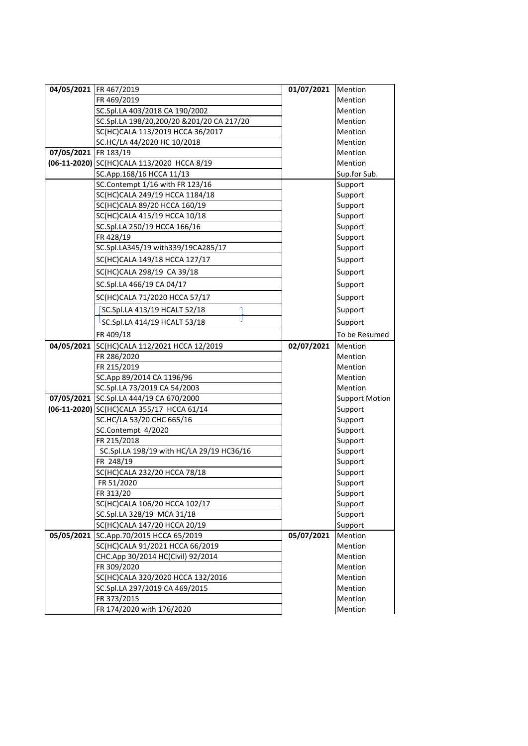|                      |                                            |            | Mention               |
|----------------------|--------------------------------------------|------------|-----------------------|
|                      | 04/05/2021 FR 467/2019                     | 01/07/2021 |                       |
|                      | FR 469/2019                                |            | Mention               |
|                      | SC.Spl.LA 403/2018 CA 190/2002             |            | Mention               |
|                      | SC.Spl.LA 198/20,200/20 &201/20 CA 217/20  |            | Mention               |
|                      | SC(HC)CALA 113/2019 HCCA 36/2017           |            | Mention               |
|                      | SC.HC/LA 44/2020 HC 10/2018                |            | Mention               |
| 07/05/2021 FR 183/19 |                                            |            | Mention               |
|                      | (06-11-2020) SC(HC)CALA 113/2020 HCCA 8/19 |            | Mention               |
|                      | SC.App.168/16 HCCA 11/13                   |            | Sup.for Sub.          |
|                      | SC.Contempt 1/16 with FR 123/16            |            | Support               |
|                      | SC(HC)CALA 249/19 HCCA 1184/18             |            | Support               |
|                      | SC(HC)CALA 89/20 HCCA 160/19               |            | Support               |
|                      | SC(HC)CALA 415/19 HCCA 10/18               |            | Support               |
|                      | SC.Spl.LA 250/19 HCCA 166/16               |            | Support               |
|                      | FR 428/19                                  |            | Support               |
|                      | SC.Spl.LA345/19 with339/19CA285/17         |            | Support               |
|                      | SC(HC)CALA 149/18 HCCA 127/17              |            | Support               |
|                      | SC(HC)CALA 298/19 CA 39/18                 |            | Support               |
|                      | SC.Spl.LA 466/19 CA 04/17                  |            | Support               |
|                      | SC(HC)CALA 71/2020 HCCA 57/17              |            | Support               |
|                      | SC.Spl.LA 413/19 HCALT 52/18               |            | Support               |
|                      | <sup>L</sup> SC.Spl.LA 414/19 HCALT 53/18  |            | Support               |
|                      | FR 409/18                                  |            | To be Resumed         |
| 04/05/2021           | SC(HC)CALA 112/2021 HCCA 12/2019           | 02/07/2021 | Mention               |
|                      | FR 286/2020                                |            | Mention               |
|                      | FR 215/2019                                |            | Mention               |
|                      | SC.App 89/2014 CA 1196/96                  |            | Mention               |
|                      | SC.Spl.LA 73/2019 CA 54/2003               |            | Mention               |
|                      | 07/05/2021 SC.Spl.LA 444/19 CA 670/2000    |            | <b>Support Motion</b> |
|                      | (06-11-2020) SC(HC)CALA 355/17 HCCA 61/14  |            | Support               |
|                      | SC.HC/LA 53/20 CHC 665/16                  |            | Support               |
|                      | SC.Contempt 4/2020                         |            | Support               |
|                      | FR 215/2018                                |            | Support               |
|                      | SC.Spl.LA 198/19 with HC/LA 29/19 HC36/16  |            | Support               |
|                      | FR 248/19                                  |            | Support               |
|                      | SC(HC)CALA 232/20 HCCA 78/18               |            | Support               |
|                      | FR 51/2020                                 |            | Support               |
|                      | FR 313/20                                  |            | Support               |
|                      | SC(HC)CALA 106/20 HCCA 102/17              |            | Support               |
|                      | SC.Spl.LA 328/19 MCA 31/18                 |            | Support               |
|                      | SC(HC)CALA 147/20 HCCA 20/19               |            | Support               |
| 05/05/2021           | SC.App.70/2015 HCCA 65/2019                | 05/07/2021 | Mention               |
|                      | SC(HC)CALA 91/2021 HCCA 66/2019            |            | Mention               |
|                      | CHC.App 30/2014 HC(Civil) 92/2014          |            | Mention               |
|                      | FR 309/2020                                |            | Mention               |
|                      | SC(HC)CALA 320/2020 HCCA 132/2016          |            | Mention               |
|                      | SC.Spl.LA 297/2019 CA 469/2015             |            | Mention               |
|                      | FR 373/2015                                |            | Mention               |
|                      | FR 174/2020 with 176/2020                  |            | Mention               |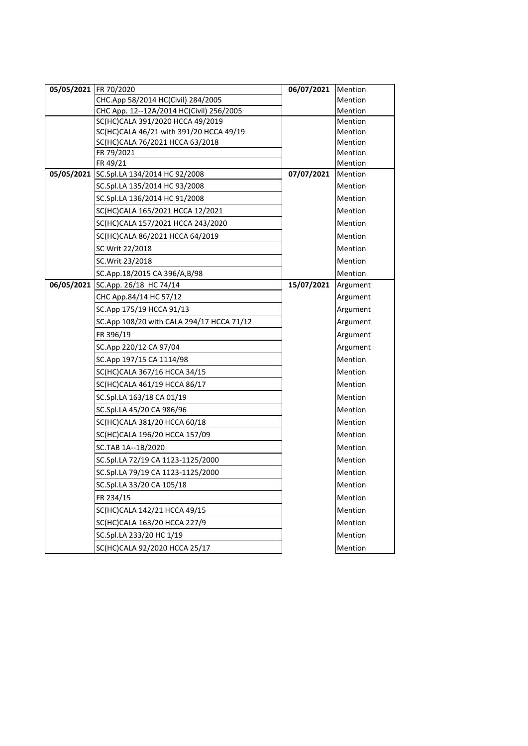| 05/05/2021   FR 70/2020 |                                           | 06/07/2021 | Mention            |
|-------------------------|-------------------------------------------|------------|--------------------|
|                         | CHC.App 58/2014 HC(Civil) 284/2005        |            | Mention            |
|                         | CHC App. 12--12A/2014 HC(Civil) 256/2005  |            | Mention            |
|                         | SC(HC)CALA 391/2020 HCCA 49/2019          |            | Mention            |
|                         | SC(HC)CALA 46/21 with 391/20 HCCA 49/19   |            | Mention            |
|                         | SC(HC)CALA 76/2021 HCCA 63/2018           |            | Mention            |
|                         | FR 79/2021                                |            | Mention            |
| 05/05/2021              | FR 49/21<br>SC.Spl.LA 134/2014 HC 92/2008 | 07/07/2021 | Mention<br>Mention |
|                         | SC.Spl.LA 135/2014 HC 93/2008             |            | Mention            |
|                         | SC.Spl.LA 136/2014 HC 91/2008             |            | Mention            |
|                         | SC(HC)CALA 165/2021 HCCA 12/2021          |            | Mention            |
|                         | SC(HC)CALA 157/2021 HCCA 243/2020         |            | Mention            |
|                         | SC(HC)CALA 86/2021 HCCA 64/2019           |            | Mention            |
|                         | SC Writ 22/2018                           |            | Mention            |
|                         | SC. Writ 23/2018                          |            | Mention            |
|                         | SC.App.18/2015 CA 396/A,B/98              |            | Mention            |
|                         | 06/05/2021 SC.App. 26/18 HC 74/14         | 15/07/2021 | Argument           |
|                         | CHC App.84/14 HC 57/12                    |            | Argument           |
|                         | SC.App 175/19 HCCA 91/13                  |            | Argument           |
|                         | SC.App 108/20 with CALA 294/17 HCCA 71/12 |            | Argument           |
|                         | FR 396/19                                 |            | Argument           |
|                         | SC.App 220/12 CA 97/04                    |            | Argument           |
|                         | SC.App 197/15 CA 1114/98                  |            | Mention            |
|                         | SC(HC)CALA 367/16 HCCA 34/15              |            | Mention            |
|                         | SC(HC)CALA 461/19 HCCA 86/17              |            | Mention            |
|                         | SC.Spl.LA 163/18 CA 01/19                 |            | Mention            |
|                         | SC.Spl.LA 45/20 CA 986/96                 |            | Mention            |
|                         | SC(HC)CALA 381/20 HCCA 60/18              |            | Mention            |
|                         | SC(HC)CALA 196/20 HCCA 157/09             |            | Mention            |
|                         | SC.TAB 1A--1B/2020                        |            | Mention            |
|                         | SC.Spl.LA 72/19 CA 1123-1125/2000         |            | Mention            |
|                         | SC.Spl.LA 79/19 CA 1123-1125/2000         |            | Mention            |
|                         | SC.Spl.LA 33/20 CA 105/18                 |            | Mention            |
|                         | FR 234/15                                 |            | Mention            |
|                         | SC(HC)CALA 142/21 HCCA 49/15              |            | Mention            |
|                         | SC(HC)CALA 163/20 HCCA 227/9              |            | Mention            |
|                         | SC.Spl.LA 233/20 HC 1/19                  |            | Mention            |
|                         | SC(HC)CALA 92/2020 HCCA 25/17             |            | Mention            |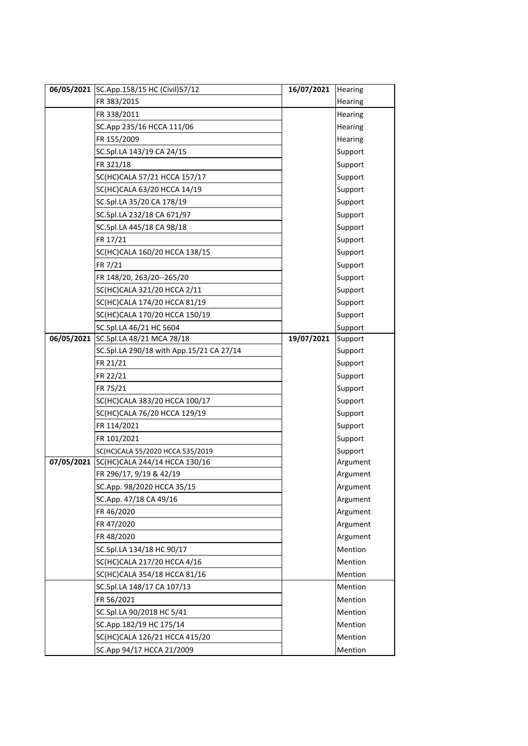|            | 06/05/2021 SC.App.158/15 HC (Civil)57/12 | 16/07/2021 | Hearing  |
|------------|------------------------------------------|------------|----------|
|            | FR 383/2015                              |            | Hearing  |
|            | FR 338/2011                              |            | Hearing  |
|            | SC.App 235/16 HCCA 111/06                |            | Hearing  |
|            | FR 155/2009                              |            | Hearing  |
|            | SC.Spl.LA 143/19 CA 24/15                |            | Support  |
|            | FR 321/18                                |            | Support  |
|            | SC(HC)CALA 57/21 HCCA 157/17             |            | Support  |
|            | SC(HC)CALA 63/20 HCCA 14/19              |            | Support  |
|            | SC.Spl.LA 35/20 CA 178/19                |            | Support  |
|            | SC.Spl.LA 232/18 CA 671/97               |            | Support  |
|            | SC.Spl.LA 445/18 CA 98/18                |            | Support  |
|            | FR 17/21                                 |            | Support  |
|            | SC(HC)CALA 160/20 HCCA 138/15            |            | Support  |
|            | FR 7/21                                  |            | Support  |
|            | FR 148/20, 263/20--265/20                |            | Support  |
|            | SC(HC)CALA 321/20 HCCA 2/11              |            | Support  |
|            | SC(HC)CALA 174/20 HCCA 81/19             |            | Support  |
|            | SC(HC)CALA 170/20 HCCA 150/19            |            | Support  |
|            | SC.Spl.LA 46/21 HC 5604                  |            | Support  |
| 06/05/2021 | SC.Spl.LA 48/21 MCA 78/18                | 19/07/2021 | Support  |
|            | SC.Spl.LA 290/18 with App.15/21 CA 27/14 |            | Support  |
|            | FR 21/21                                 |            | Support  |
|            | FR 22/21                                 |            | Support  |
|            | FR 75/21                                 |            | Support  |
|            | SC(HC)CALA 383/20 HCCA 100/17            |            | Support  |
|            | SC(HC)CALA 76/20 HCCA 129/19             |            | Support  |
|            | FR 114/2021                              |            | Support  |
|            | FR 101/2021                              |            | Support  |
|            | SC(HC)CALA 55/2020 HCCA 535/2019         |            | Support  |
| 07/05/2021 | SC(HC)CALA 244/14 HCCA 130/16            |            | Argument |
|            | FR 296/17, 9/19 & 42/19                  |            | Argument |
|            | SC.App. 98/2020 HCCA 35/15               |            | Argument |
|            | SC.App. 47/18 CA 49/16                   |            | Argument |
|            | FR 46/2020                               |            | Argument |
|            | FR 47/2020                               |            | Argument |
|            | FR 48/2020                               |            | Argument |
|            | SC.Spl.LA 134/18 HC 90/17                |            | Mention  |
|            | SC(HC)CALA 217/20 HCCA 4/16              |            | Mention  |
|            | SC(HC)CALA 354/18 HCCA 81/16             |            | Mention  |
|            | SC.Spl.LA 148/17 CA 107/13               |            | Mention  |
|            | FR 56/2021                               |            | Mention  |
|            | SC.Spl.LA 90/2018 HC 5/41                |            | Mention  |
|            | SC.App.182/19 HC 175/14                  |            | Mention  |
|            | SC(HC)CALA 126/21 HCCA 415/20            |            | Mention  |
|            | SC.App 94/17 HCCA 21/2009                |            | Mention  |